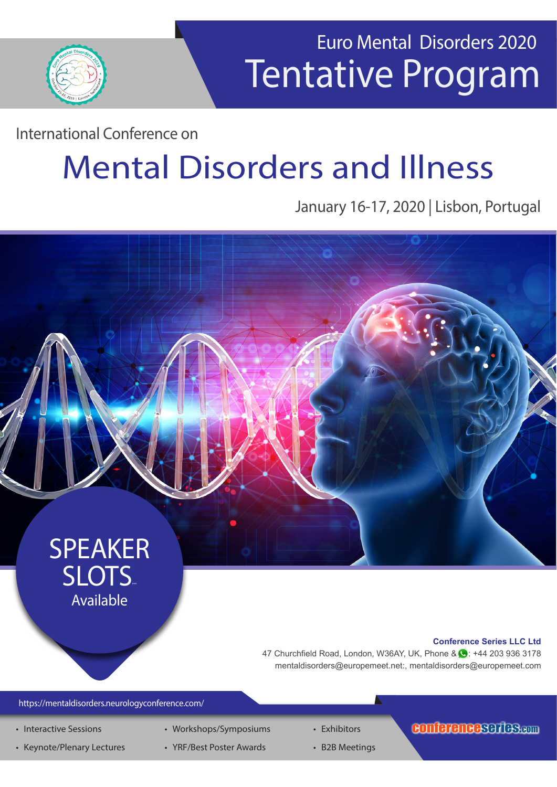

# Tentative Program Euro Mental Disorders 2020

International Conference on

# Mental Disorders and Illness

### January 16-17, 2020 | Lisbon, Portugal



https://mentaldisorders.neurologyconference.com/

- Interactive Sessions
- Keynote/Plenary Lectures
- Workshops/Symposiums • YRF/Best Poster Awards
- Exhibitors
	- B2B Meetings

#### conferenceseries.com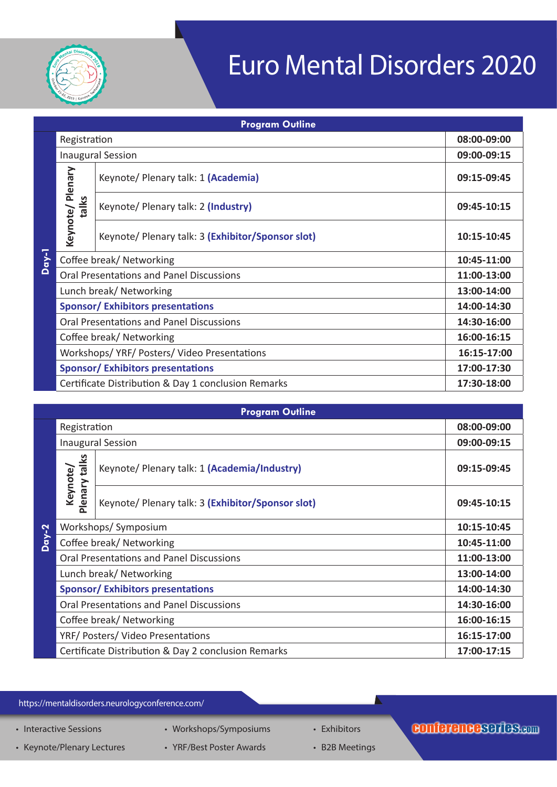

# Euro Mental Disorders 2020

| <b>Program Outline</b> |                                                 |                                                     |             |  |  |  |
|------------------------|-------------------------------------------------|-----------------------------------------------------|-------------|--|--|--|
| $Day-1$                | Registration                                    |                                                     | 08:00-09:00 |  |  |  |
|                        | <b>Inaugural Session</b>                        |                                                     | 09:00-09:15 |  |  |  |
|                        | Keynote/ Plenary<br>talks                       | Keynote/ Plenary talk: 1 (Academia)                 | 09:15-09:45 |  |  |  |
|                        |                                                 | Keynote/ Plenary talk: 2 (Industry)                 | 09:45-10:15 |  |  |  |
|                        |                                                 | Keynote/ Plenary talk: 3 (Exhibitor/Sponsor slot)   | 10:15-10:45 |  |  |  |
|                        | Coffee break/ Networking                        |                                                     | 10:45-11:00 |  |  |  |
|                        | <b>Oral Presentations and Panel Discussions</b> |                                                     | 11:00-13:00 |  |  |  |
|                        | Lunch break/ Networking                         |                                                     | 13:00-14:00 |  |  |  |
|                        | <b>Sponsor/ Exhibitors presentations</b>        |                                                     | 14:00-14:30 |  |  |  |
|                        | <b>Oral Presentations and Panel Discussions</b> |                                                     | 14:30-16:00 |  |  |  |
|                        | Coffee break/ Networking                        |                                                     | 16:00-16:15 |  |  |  |
|                        | Workshops/YRF/Posters/Video Presentations       |                                                     | 16:15-17:00 |  |  |  |
|                        | <b>Sponsor/ Exhibitors presentations</b>        |                                                     | 17:00-17:30 |  |  |  |
|                        |                                                 | Certificate Distribution & Day 1 conclusion Remarks | 17:30-18:00 |  |  |  |

|         |                                                 | <b>Program Outline</b>                              |             |
|---------|-------------------------------------------------|-----------------------------------------------------|-------------|
|         | Registration                                    |                                                     | 08:00-09:00 |
|         | <b>Inaugural Session</b>                        |                                                     | 09:00-09:15 |
|         | Plenary talks<br>Keynote/                       | Keynote/ Plenary talk: 1 (Academia/Industry)        | 09:15-09:45 |
|         |                                                 | Keynote/ Plenary talk: 3 (Exhibitor/Sponsor slot)   | 09:45-10:15 |
|         | Workshops/Symposium                             |                                                     | 10:15-10:45 |
| $Day-2$ | Coffee break/ Networking                        |                                                     | 10:45-11:00 |
|         | <b>Oral Presentations and Panel Discussions</b> |                                                     | 11:00-13:00 |
|         | Lunch break/ Networking                         |                                                     | 13:00-14:00 |
|         | <b>Sponsor/Exhibitors presentations</b>         |                                                     | 14:00-14:30 |
|         | <b>Oral Presentations and Panel Discussions</b> |                                                     | 14:30-16:00 |
|         | Coffee break/ Networking                        |                                                     | 16:00-16:15 |
|         | YRF/ Posters/ Video Presentations               |                                                     | 16:15-17:00 |
|         |                                                 | Certificate Distribution & Day 2 conclusion Remarks | 17:00-17:15 |

https://mentaldisorders.neurologyconference.com/

- Interactive Sessions
- Keynote/Plenary Lectures • Workshops/Symposiums
	- YRF/Best Poster Awards
- Exhibitors
	- B2B Meetings

### conferenceserfes.com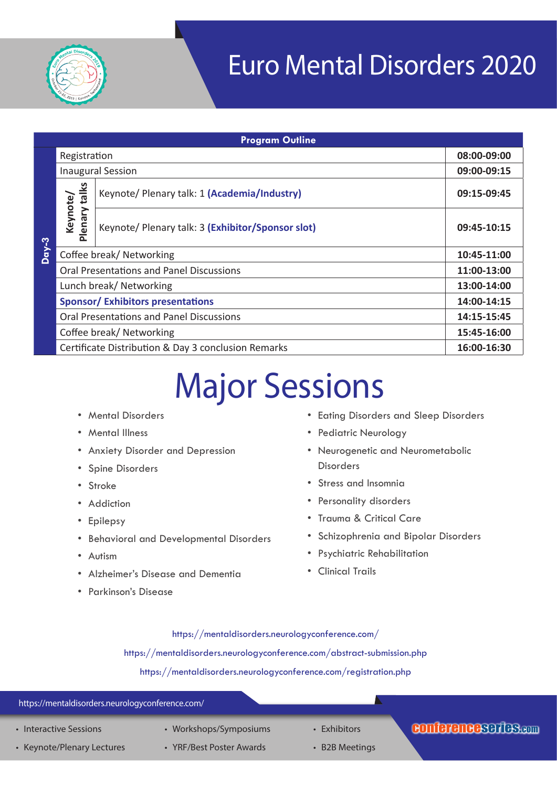

# Euro Mental Disorders 2020

| <b>Program Outline</b> |                                                     |                                                   |             |  |  |  |
|------------------------|-----------------------------------------------------|---------------------------------------------------|-------------|--|--|--|
|                        | Registration                                        |                                                   | 08:00-09:00 |  |  |  |
|                        | <b>Inaugural Session</b>                            |                                                   | 09:00-09:15 |  |  |  |
|                        |                                                     | Keynote/ Plenary talk: 1 (Academia/Industry)      | 09:15-09:45 |  |  |  |
|                        | Plenary talks<br>Keynote/                           | Keynote/ Plenary talk: 3 (Exhibitor/Sponsor slot) | 09:45-10:15 |  |  |  |
| $Day-3$                | Coffee break/ Networking                            |                                                   | 10:45-11:00 |  |  |  |
|                        | <b>Oral Presentations and Panel Discussions</b>     |                                                   | 11:00-13:00 |  |  |  |
|                        | Lunch break/ Networking                             |                                                   | 13:00-14:00 |  |  |  |
|                        | <b>Sponsor/Exhibitors presentations</b>             |                                                   | 14:00-14:15 |  |  |  |
|                        | <b>Oral Presentations and Panel Discussions</b>     |                                                   | 14:15-15:45 |  |  |  |
|                        | Coffee break/Networking                             |                                                   | 15:45-16:00 |  |  |  |
|                        | Certificate Distribution & Day 3 conclusion Remarks |                                                   | 16:00-16:30 |  |  |  |

# Major Sessions

- Mental Disorders
- Mental Illness
- Anxiety Disorder and Depression
- Spine Disorders
- Stroke
- Addiction
- Epilepsy
- Behavioral and Developmental Disorders
- Autism
- Alzheimer's Disease and Dementia
- Parkinson's Disease
- Eating Disorders and Sleep Disorders
- Pediatric Neurology
- Neurogenetic and Neurometabolic Disorders
- Stress and Insomnia
- Personality disorders
- Trauma & Critical Care
- Schizophrenia and Bipolar Disorders
- Psychiatric Rehabilitation
- Clinical Trails

https://mentaldisorders.neurologyconference.com/ https://mentaldisorders.neurologyconference.com/abstract-submission.php https://mentaldisorders.neurologyconference.com/registration.php

#### https://mentaldisorders.neurologyconference.com/

- Interactive Sessions
- Keynote/Plenary Lectures
- Workshops/Symposiums • YRF/Best Poster Awards
- Exhibitors
- B2B Meetings

### conferenceseries.com